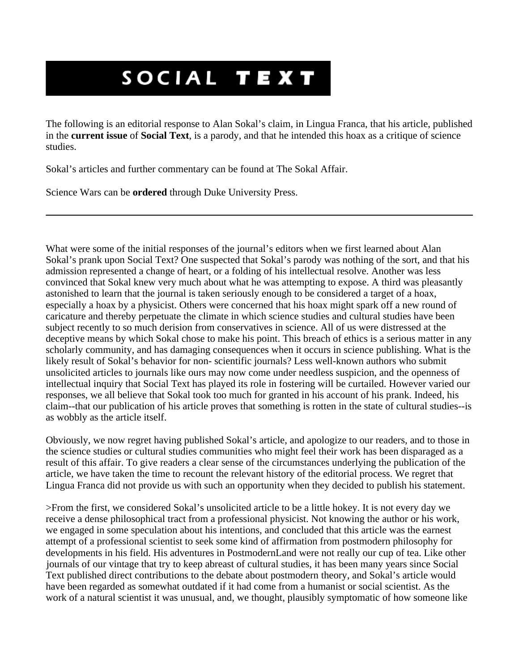## SOCIAL TEXT

The following is an editorial response to Alan Sokal's claim, in Lingua Franca, that his article, published in the **current issue** of **Social Text**, is a parody, and that he intended this hoax as a critique of science studies.

Sokal's articles and further commentary can be found at The Sokal Affair.

Science Wars can be **ordered** through Duke University Press.

What were some of the initial responses of the journal's editors when we first learned about Alan Sokal's prank upon Social Text? One suspected that Sokal's parody was nothing of the sort, and that his admission represented a change of heart, or a folding of his intellectual resolve. Another was less convinced that Sokal knew very much about what he was attempting to expose. A third was pleasantly astonished to learn that the journal is taken seriously enough to be considered a target of a hoax, especially a hoax by a physicist. Others were concerned that his hoax might spark off a new round of caricature and thereby perpetuate the climate in which science studies and cultural studies have been subject recently to so much derision from conservatives in science. All of us were distressed at the deceptive means by which Sokal chose to make his point. This breach of ethics is a serious matter in any scholarly community, and has damaging consequences when it occurs in science publishing. What is the likely result of Sokal's behavior for non- scientific journals? Less well-known authors who submit unsolicited articles to journals like ours may now come under needless suspicion, and the openness of intellectual inquiry that Social Text has played its role in fostering will be curtailed. However varied our responses, we all believe that Sokal took too much for granted in his account of his prank. Indeed, his claim--that our publication of his article proves that something is rotten in the state of cultural studies--is as wobbly as the article itself.

Obviously, we now regret having published Sokal's article, and apologize to our readers, and to those in the science studies or cultural studies communities who might feel their work has been disparaged as a result of this affair. To give readers a clear sense of the circumstances underlying the publication of the article, we have taken the time to recount the relevant history of the editorial process. We regret that Lingua Franca did not provide us with such an opportunity when they decided to publish his statement.

>From the first, we considered Sokal's unsolicited article to be a little hokey. It is not every day we receive a dense philosophical tract from a professional physicist. Not knowing the author or his work, we engaged in some speculation about his intentions, and concluded that this article was the earnest attempt of a professional scientist to seek some kind of affirmation from postmodern philosophy for developments in his field. His adventures in PostmodernLand were not really our cup of tea. Like other journals of our vintage that try to keep abreast of cultural studies, it has been many years since Social Text published direct contributions to the debate about postmodern theory, and Sokal's article would have been regarded as somewhat outdated if it had come from a humanist or social scientist. As the work of a natural scientist it was unusual, and, we thought, plausibly symptomatic of how someone like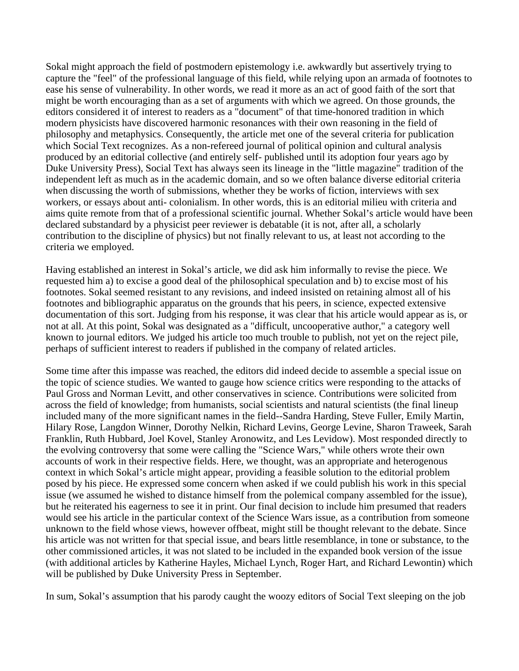Sokal might approach the field of postmodern epistemology i.e. awkwardly but assertively trying to capture the "feel" of the professional language of this field, while relying upon an armada of footnotes to ease his sense of vulnerability. In other words, we read it more as an act of good faith of the sort that might be worth encouraging than as a set of arguments with which we agreed. On those grounds, the editors considered it of interest to readers as a "document" of that time-honored tradition in which modern physicists have discovered harmonic resonances with their own reasoning in the field of philosophy and metaphysics. Consequently, the article met one of the several criteria for publication which Social Text recognizes. As a non-refereed journal of political opinion and cultural analysis produced by an editorial collective (and entirely self- published until its adoption four years ago by Duke University Press), Social Text has always seen its lineage in the "little magazine" tradition of the independent left as much as in the academic domain, and so we often balance diverse editorial criteria when discussing the worth of submissions, whether they be works of fiction, interviews with sex workers, or essays about anti- colonialism. In other words, this is an editorial milieu with criteria and aims quite remote from that of a professional scientific journal. Whether Sokal's article would have been declared substandard by a physicist peer reviewer is debatable (it is not, after all, a scholarly contribution to the discipline of physics) but not finally relevant to us, at least not according to the criteria we employed.

Having established an interest in Sokal's article, we did ask him informally to revise the piece. We requested him a) to excise a good deal of the philosophical speculation and b) to excise most of his footnotes. Sokal seemed resistant to any revisions, and indeed insisted on retaining almost all of his footnotes and bibliographic apparatus on the grounds that his peers, in science, expected extensive documentation of this sort. Judging from his response, it was clear that his article would appear as is, or not at all. At this point, Sokal was designated as a "difficult, uncooperative author," a category well known to journal editors. We judged his article too much trouble to publish, not yet on the reject pile, perhaps of sufficient interest to readers if published in the company of related articles.

Some time after this impasse was reached, the editors did indeed decide to assemble a special issue on the topic of science studies. We wanted to gauge how science critics were responding to the attacks of Paul Gross and Norman Levitt, and other conservatives in science. Contributions were solicited from across the field of knowledge; from humanists, social scientists and natural scientists (the final lineup included many of the more significant names in the field--Sandra Harding, Steve Fuller, Emily Martin, Hilary Rose, Langdon Winner, Dorothy Nelkin, Richard Levins, George Levine, Sharon Traweek, Sarah Franklin, Ruth Hubbard, Joel Kovel, Stanley Aronowitz, and Les Levidow). Most responded directly to the evolving controversy that some were calling the "Science Wars," while others wrote their own accounts of work in their respective fields. Here, we thought, was an appropriate and heterogenous context in which Sokal's article might appear, providing a feasible solution to the editorial problem posed by his piece. He expressed some concern when asked if we could publish his work in this special issue (we assumed he wished to distance himself from the polemical company assembled for the issue), but he reiterated his eagerness to see it in print. Our final decision to include him presumed that readers would see his article in the particular context of the Science Wars issue, as a contribution from someone unknown to the field whose views, however offbeat, might still be thought relevant to the debate. Since his article was not written for that special issue, and bears little resemblance, in tone or substance, to the other commissioned articles, it was not slated to be included in the expanded book version of the issue (with additional articles by Katherine Hayles, Michael Lynch, Roger Hart, and Richard Lewontin) which will be published by Duke University Press in September.

In sum, Sokal's assumption that his parody caught the woozy editors of Social Text sleeping on the job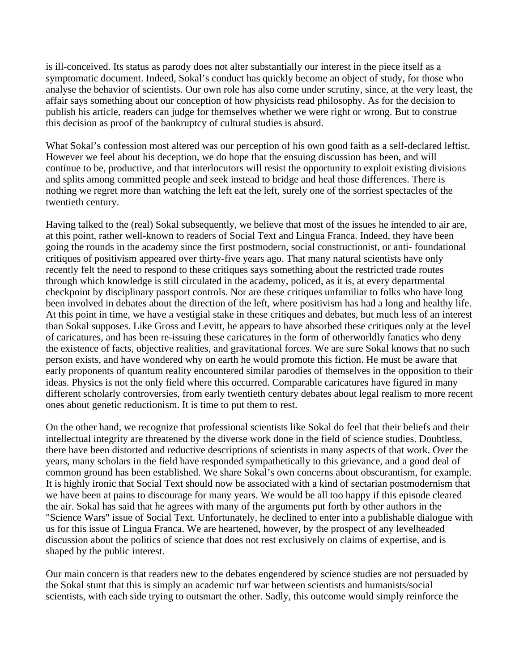is ill-conceived. Its status as parody does not alter substantially our interest in the piece itself as a symptomatic document. Indeed, Sokal's conduct has quickly become an object of study, for those who analyse the behavior of scientists. Our own role has also come under scrutiny, since, at the very least, the affair says something about our conception of how physicists read philosophy. As for the decision to publish his article, readers can judge for themselves whether we were right or wrong. But to construe this decision as proof of the bankruptcy of cultural studies is absurd.

What Sokal's confession most altered was our perception of his own good faith as a self-declared leftist. However we feel about his deception, we do hope that the ensuing discussion has been, and will continue to be, productive, and that interlocutors will resist the opportunity to exploit existing divisions and splits among committed people and seek instead to bridge and heal those differences. There is nothing we regret more than watching the left eat the left, surely one of the sorriest spectacles of the twentieth century.

Having talked to the (real) Sokal subsequently, we believe that most of the issues he intended to air are, at this point, rather well-known to readers of Social Text and Lingua Franca. Indeed, they have been going the rounds in the academy since the first postmodern, social constructionist, or anti- foundational critiques of positivism appeared over thirty-five years ago. That many natural scientists have only recently felt the need to respond to these critiques says something about the restricted trade routes through which knowledge is still circulated in the academy, policed, as it is, at every departmental checkpoint by disciplinary passport controls. Nor are these critiques unfamiliar to folks who have long been involved in debates about the direction of the left, where positivism has had a long and healthy life. At this point in time, we have a vestigial stake in these critiques and debates, but much less of an interest than Sokal supposes. Like Gross and Levitt, he appears to have absorbed these critiques only at the level of caricatures, and has been re-issuing these caricatures in the form of otherworldly fanatics who deny the existence of facts, objective realities, and gravitational forces. We are sure Sokal knows that no such person exists, and have wondered why on earth he would promote this fiction. He must be aware that early proponents of quantum reality encountered similar parodies of themselves in the opposition to their ideas. Physics is not the only field where this occurred. Comparable caricatures have figured in many different scholarly controversies, from early twentieth century debates about legal realism to more recent ones about genetic reductionism. It is time to put them to rest.

On the other hand, we recognize that professional scientists like Sokal do feel that their beliefs and their intellectual integrity are threatened by the diverse work done in the field of science studies. Doubtless, there have been distorted and reductive descriptions of scientists in many aspects of that work. Over the years, many scholars in the field have responded sympathetically to this grievance, and a good deal of common ground has been established. We share Sokal's own concerns about obscurantism, for example. It is highly ironic that Social Text should now be associated with a kind of sectarian postmodernism that we have been at pains to discourage for many years. We would be all too happy if this episode cleared the air. Sokal has said that he agrees with many of the arguments put forth by other authors in the "Science Wars" issue of Social Text. Unfortunately, he declined to enter into a publishable dialogue with us for this issue of Lingua Franca. We are heartened, however, by the prospect of any levelheaded discussion about the politics of science that does not rest exclusively on claims of expertise, and is shaped by the public interest.

Our main concern is that readers new to the debates engendered by science studies are not persuaded by the Sokal stunt that this is simply an academic turf war between scientists and humanists/social scientists, with each side trying to outsmart the other. Sadly, this outcome would simply reinforce the